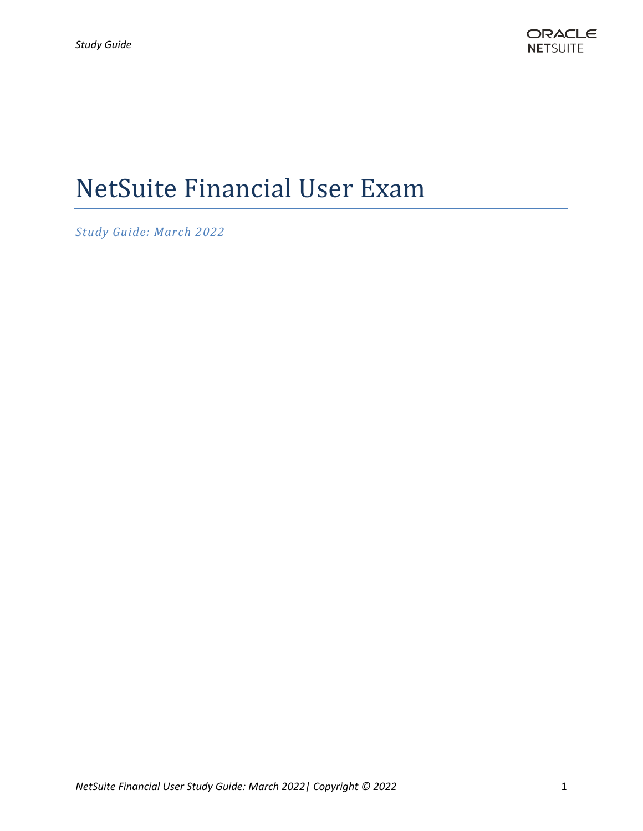# NetSuite Financial User Exam

*Study Guide: March 2022*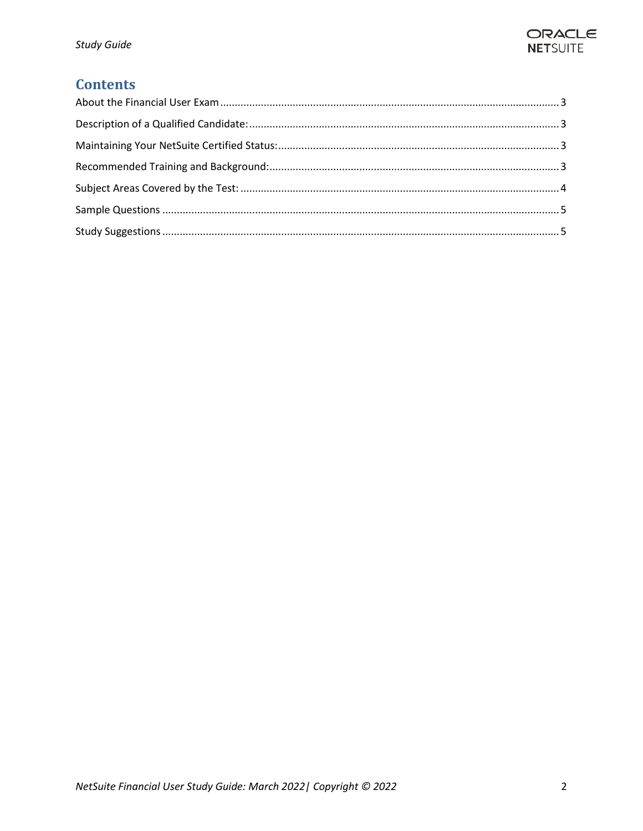

# **Contents**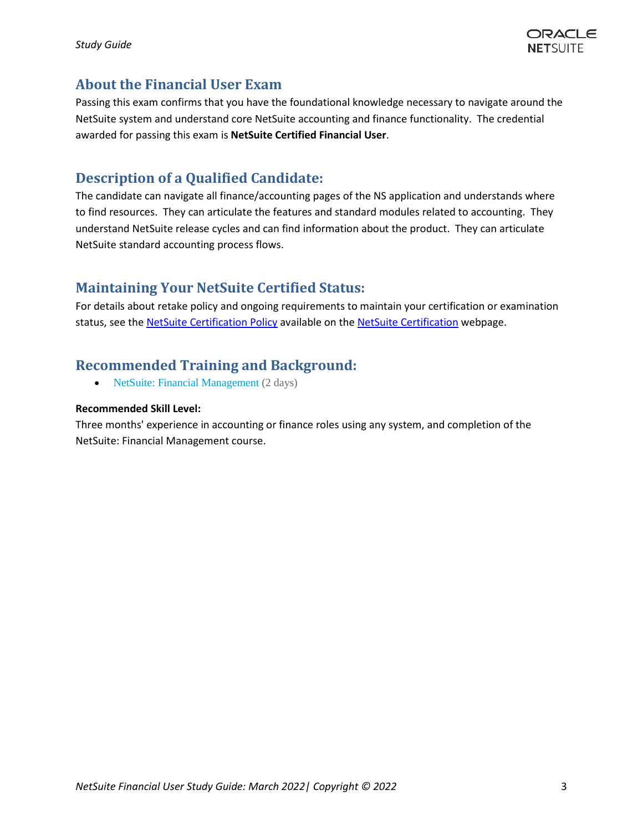

### <span id="page-2-0"></span>**About the Financial User Exam**

Passing this exam confirms that you have the foundational knowledge necessary to navigate around the NetSuite system and understand core NetSuite accounting and finance functionality. The credential awarded for passing this exam is **NetSuite Certified Financial User**.

# <span id="page-2-1"></span>**Description of a Qualified Candidate:**

The candidate can navigate all finance/accounting pages of the NS application and understands where to find resources. They can articulate the features and standard modules related to accounting. They understand NetSuite release cycles and can find information about the product. They can articulate NetSuite standard accounting process flows.

# <span id="page-2-2"></span>**Maintaining Your NetSuite Certified Status:**

For details about retake policy and ongoing requirements to maintain your certification or examination status, see the NetSuite [Certification Policy](https://www.netsuite.com/core/media/media.nl?id=311172&c=6262239&h=b93903895a0444b7862c&_xt=.pdf) available on the NetSuite [Certification](https://www.netsuite.com/portal/services/training/suite-training/netsuite-certification.shtml) webpage.

# <span id="page-2-3"></span>**Recommended Training and Background:**

• [NetSuite: Financial Management](http://www.netsuite.com/portal/services/training/finance-fundamentals.shtml) (2 days)

#### **Recommended Skill Level:**

Three months' experience in accounting or finance roles using any system, and completion of the NetSuite: Financial Management course.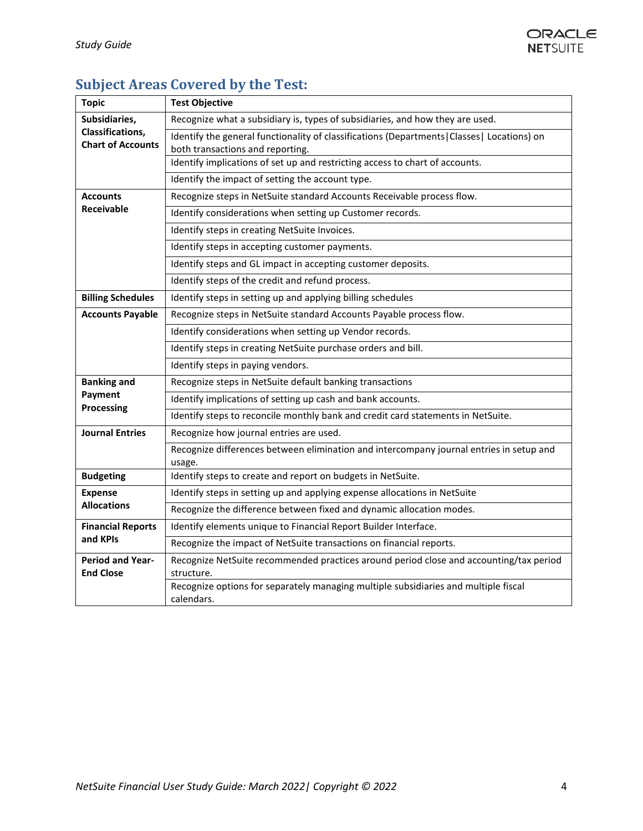

# <span id="page-3-0"></span>**Subject Areas Covered by the Test:**

| <b>Topic</b>                                                         | <b>Test Objective</b>                                                                                                            |
|----------------------------------------------------------------------|----------------------------------------------------------------------------------------------------------------------------------|
| Subsidiaries,<br><b>Classifications,</b><br><b>Chart of Accounts</b> | Recognize what a subsidiary is, types of subsidiaries, and how they are used.                                                    |
|                                                                      | Identify the general functionality of classifications (Departments   Classes   Locations) on<br>both transactions and reporting. |
|                                                                      | Identify implications of set up and restricting access to chart of accounts.                                                     |
|                                                                      | Identify the impact of setting the account type.                                                                                 |
| <b>Accounts</b><br><b>Receivable</b>                                 | Recognize steps in NetSuite standard Accounts Receivable process flow.                                                           |
|                                                                      | Identify considerations when setting up Customer records.                                                                        |
|                                                                      | Identify steps in creating NetSuite Invoices.                                                                                    |
|                                                                      | Identify steps in accepting customer payments.                                                                                   |
|                                                                      | Identify steps and GL impact in accepting customer deposits.                                                                     |
|                                                                      | Identify steps of the credit and refund process.                                                                                 |
| <b>Billing Schedules</b>                                             | Identify steps in setting up and applying billing schedules                                                                      |
| <b>Accounts Payable</b>                                              | Recognize steps in NetSuite standard Accounts Payable process flow.                                                              |
|                                                                      | Identify considerations when setting up Vendor records.                                                                          |
|                                                                      | Identify steps in creating NetSuite purchase orders and bill.                                                                    |
|                                                                      | Identify steps in paying vendors.                                                                                                |
| <b>Banking and</b><br>Payment<br><b>Processing</b>                   | Recognize steps in NetSuite default banking transactions                                                                         |
|                                                                      | Identify implications of setting up cash and bank accounts.                                                                      |
|                                                                      | Identify steps to reconcile monthly bank and credit card statements in NetSuite.                                                 |
| <b>Journal Entries</b>                                               | Recognize how journal entries are used.                                                                                          |
|                                                                      | Recognize differences between elimination and intercompany journal entries in setup and<br>usage.                                |
| <b>Budgeting</b>                                                     | Identify steps to create and report on budgets in NetSuite.                                                                      |
| <b>Expense</b><br><b>Allocations</b>                                 | Identify steps in setting up and applying expense allocations in NetSuite                                                        |
|                                                                      | Recognize the difference between fixed and dynamic allocation modes.                                                             |
| <b>Financial Reports</b><br>and KPIs                                 | Identify elements unique to Financial Report Builder Interface.                                                                  |
|                                                                      | Recognize the impact of NetSuite transactions on financial reports.                                                              |
| <b>Period and Year-</b><br><b>End Close</b>                          | Recognize NetSuite recommended practices around period close and accounting/tax period<br>structure.                             |
|                                                                      | Recognize options for separately managing multiple subsidiaries and multiple fiscal<br>calendars.                                |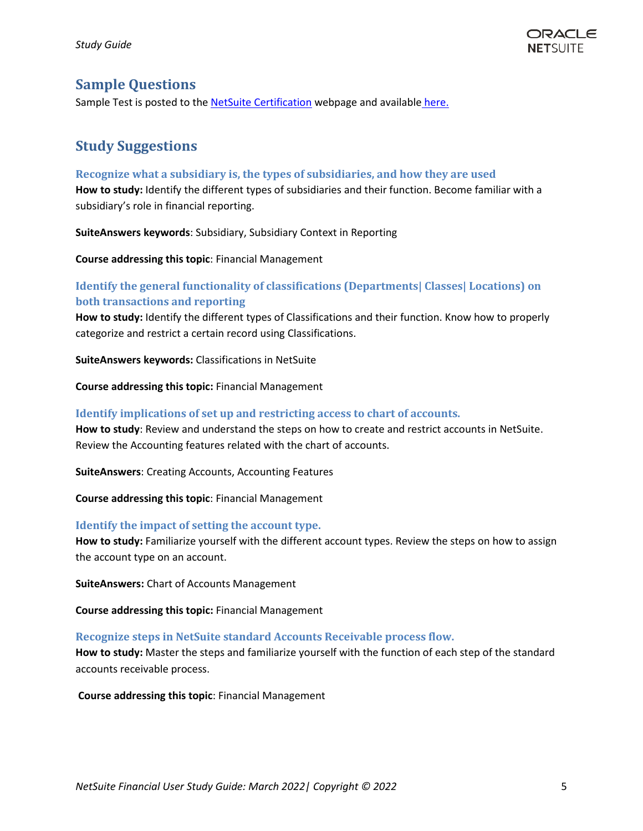

### <span id="page-4-0"></span>**Sample Questions**

Sample Test is posted to the [NetSuite Certification](https://www.netsuite.com/portal/services/training/suite-training/netsuite-certification.shtml) webpage and available [here.](https://www.netsuite.com/core/media/media.nl?id=472467&c=6262239&h=f319c8e932eb2e4beb05&_xt=.pdf)

# <span id="page-4-1"></span>**Study Suggestions**

#### **Recognize what a subsidiary is, the types of subsidiaries, and how they are used**

**How to study:** Identify the different types of subsidiaries and their function. Become familiar with a subsidiary's role in financial reporting.

**SuiteAnswers keywords**: Subsidiary, Subsidiary Context in Reporting

**Course addressing this topic**: Financial Management

#### **Identify the general functionality of classifications (Departments| Classes| Locations) on both transactions and reporting**

**How to study:** Identify the different types of Classifications and their function. Know how to properly categorize and restrict a certain record using Classifications.

**SuiteAnswers keywords:** Classifications in NetSuite

**Course addressing this topic:** Financial Management

#### **Identify implications of set up and restricting access to chart of accounts.**

**How to study**: Review and understand the steps on how to create and restrict accounts in NetSuite. Review the Accounting features related with the chart of accounts.

**SuiteAnswers**: Creating Accounts, Accounting Features

**Course addressing this topic**: Financial Management

#### **Identify the impact of setting the account type.**

**How to study:** Familiarize yourself with the different account types. Review the steps on how to assign the account type on an account.

**SuiteAnswers:** Chart of Accounts Management

**Course addressing this topic:** Financial Management

#### **Recognize steps in NetSuite standard Accounts Receivable process flow.**

**How to study:** Master the steps and familiarize yourself with the function of each step of the standard accounts receivable process.

#### **Course addressing this topic**: Financial Management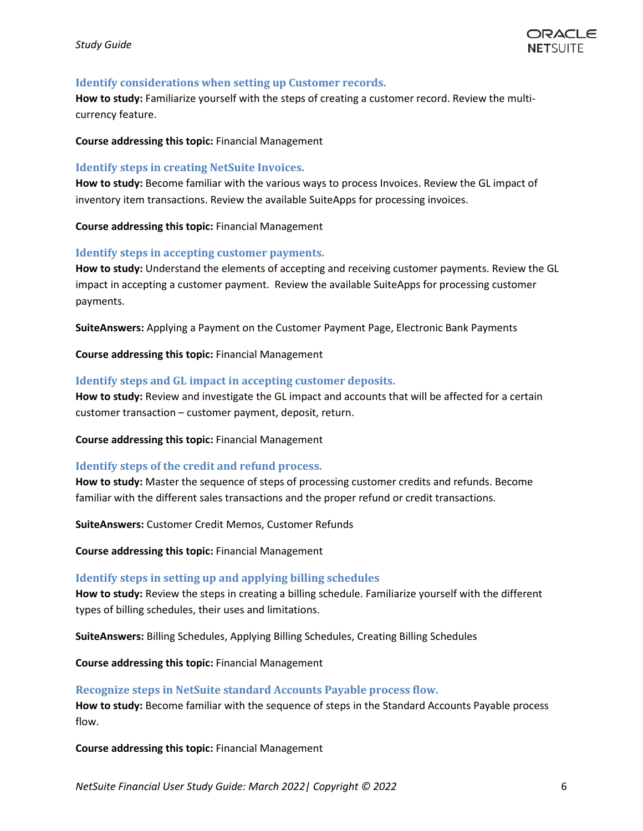

#### **Identify considerations when setting up Customer records.**

**How to study:** Familiarize yourself with the steps of creating a customer record. Review the multicurrency feature.

#### **Course addressing this topic:** Financial Management

#### **Identify steps in creating NetSuite Invoices.**

**How to study:** Become familiar with the various ways to process Invoices. Review the GL impact of inventory item transactions. Review the available SuiteApps for processing invoices.

**Course addressing this topic:** Financial Management

#### **Identify steps in accepting customer payments.**

**How to study:** Understand the elements of accepting and receiving customer payments. Review the GL impact in accepting a customer payment. Review the available SuiteApps for processing customer payments.

**SuiteAnswers:** Applying a Payment on the Customer Payment Page, Electronic Bank Payments

**Course addressing this topic:** Financial Management

#### **Identify steps and GL impact in accepting customer deposits.**

**How to study:** Review and investigate the GL impact and accounts that will be affected for a certain customer transaction – customer payment, deposit, return.

**Course addressing this topic:** Financial Management

#### **Identify steps of the credit and refund process.**

**How to study:** Master the sequence of steps of processing customer credits and refunds. Become familiar with the different sales transactions and the proper refund or credit transactions.

**SuiteAnswers:** Customer Credit Memos, Customer Refunds

**Course addressing this topic:** Financial Management

#### **Identify steps in setting up and applying billing schedules**

**How to study:** Review the steps in creating a billing schedule. Familiarize yourself with the different types of billing schedules, their uses and limitations.

**SuiteAnswers:** Billing Schedules, Applying Billing Schedules, Creating Billing Schedules

**Course addressing this topic:** Financial Management

#### **Recognize steps in NetSuite standard Accounts Payable process flow.**

**How to study:** Become familiar with the sequence of steps in the Standard Accounts Payable process flow.

**Course addressing this topic:** Financial Management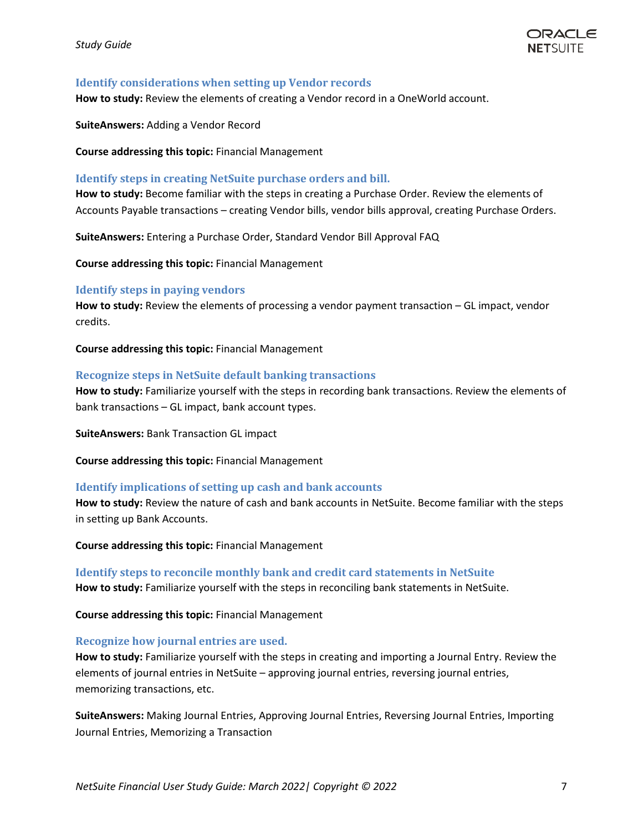

#### **Identify considerations when setting up Vendor records**

**How to study:** Review the elements of creating a Vendor record in a OneWorld account.

**SuiteAnswers:** Adding a Vendor Record

**Course addressing this topic:** Financial Management

#### **Identify steps in creating NetSuite purchase orders and bill.**

**How to study:** Become familiar with the steps in creating a Purchase Order. Review the elements of Accounts Payable transactions – creating Vendor bills, vendor bills approval, creating Purchase Orders.

**SuiteAnswers:** Entering a Purchase Order, Standard Vendor Bill Approval FAQ

**Course addressing this topic:** Financial Management

#### **Identify steps in paying vendors**

**How to study:** Review the elements of processing a vendor payment transaction – GL impact, vendor credits.

**Course addressing this topic:** Financial Management

#### **Recognize steps in NetSuite default banking transactions**

**How to study:** Familiarize yourself with the steps in recording bank transactions. Review the elements of bank transactions – GL impact, bank account types.

**SuiteAnswers:** Bank Transaction GL impact

**Course addressing this topic:** Financial Management

#### **Identify implications of setting up cash and bank accounts**

**How to study:** Review the nature of cash and bank accounts in NetSuite. Become familiar with the steps in setting up Bank Accounts.

**Course addressing this topic:** Financial Management

**Identify steps to reconcile monthly bank and credit card statements in NetSuite How to study:** Familiarize yourself with the steps in reconciling bank statements in NetSuite.

**Course addressing this topic:** Financial Management

#### **Recognize how journal entries are used.**

**How to study:** Familiarize yourself with the steps in creating and importing a Journal Entry. Review the elements of journal entries in NetSuite – approving journal entries, reversing journal entries, memorizing transactions, etc.

**SuiteAnswers:** Making Journal Entries, Approving Journal Entries, Reversing Journal Entries, Importing Journal Entries, Memorizing a Transaction